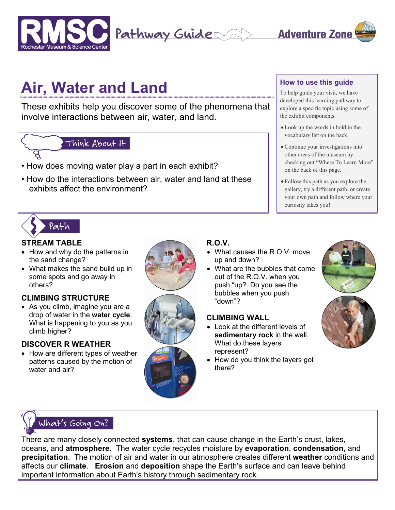



# **Air, Water and Land**

These exhibits help you discover some of the phenomena that involve interactions between air, water, and land.

## Think About It

- How does moving water play a part in each exhibit?
- How do the interactions between air, water and land at these exhibits affect the environment?

#### **How to use this guide**

To help guide your visit, we have developed this learning pathway to explore a specific topic using some of the exhibit components.

- Look up the words in bold in the vocabulary list on the back.
- Continue your investigations into other areas of the museum by checking out "Where To Learn More" on the back of this page.
- Follow this path as you explore the gallery, try a different path, or create your own path and follow where your curiosity takes you!



#### **STREAM TABLE**

- How and why do the patterns in the sand change?
- What makes the sand build up in some spots and go away in others?

### **CLIMBING STRUCTURE**

• As you climb, imagine you are a drop of water in the **water cycle**. What is happening to you as you climb higher?

#### **DISCOVER R WEATHER**

• How are different types of weather patterns caused by the motion of water and air?





## **R.O.V.**

- What causes the R.O.V. move up and down?
- What are the bubbles that come out of the R.O.V. when you push "up? Do you see the bubbles when you push "down"?

#### **CLIMBING WALL**

- Look at the different levels of **sedimentary rock** in the wall. What do these layers represent?
- How do you think the layers got there?







There are many closely connected **systems**, that can cause change in the Earth's crust, lakes, oceans, and **atmosphere**. The water cycle recycles moisture by **evaporation**, **condensation**, and **precipitation**. The motion of air and water in our atmosphere creates different **weather** conditions and affects our **climate**. **Erosion** and **deposition** shape the Earth's surface and can leave behind important information about Earth's history through sedimentary rock.